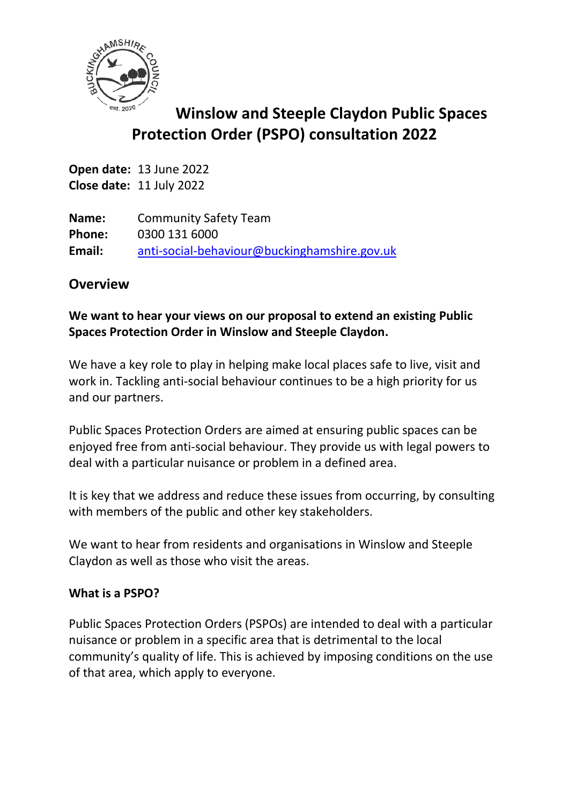

# **Winslow and Steeple Claydon Public Spaces Protection Order (PSPO) consultation 2022**

**Open date:** 13 June 2022 **Close date:** 11 July 2022

**Name:** Community Safety Team **Phone:** 0300 131 6000 **Email:** [anti-social-behaviour@buckinghamshire.gov.uk](mailto:anti-social-behaviour@buckinghamshire.gov.uk)

## **Overview**

## **We want to hear your views on our proposal to extend an existing Public Spaces Protection Order in Winslow and Steeple Claydon.**

We have a key role to play in helping make local places safe to live, visit and work in. Tackling anti-social behaviour continues to be a high priority for us and our partners.

Public Spaces Protection Orders are aimed at ensuring public spaces can be enjoyed free from anti-social behaviour. They provide us with legal powers to deal with a particular nuisance or problem in a defined area.

It is key that we address and reduce these issues from occurring, by consulting with members of the public and other key stakeholders.

We want to hear from residents and organisations in Winslow and Steeple Claydon as well as those who visit the areas.

## **What is a PSPO?**

Public Spaces Protection Orders (PSPOs) are intended to deal with a particular nuisance or problem in a specific area that is detrimental to the local community's quality of life. This is achieved by imposing conditions on the use of that area, which apply to everyone.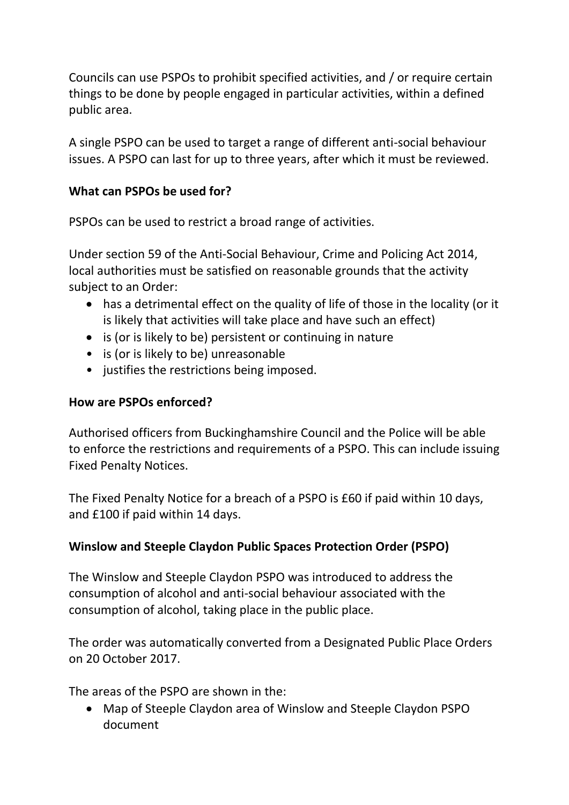Councils can use PSPOs to prohibit specified activities, and / or require certain things to be done by people engaged in particular activities, within a defined public area.

A single PSPO can be used to target a range of different anti-social behaviour issues. A PSPO can last for up to three years, after which it must be reviewed.

### **What can PSPOs be used for?**

PSPOs can be used to restrict a broad range of activities.

Under section 59 of the Anti-Social Behaviour, Crime and Policing Act 2014, local authorities must be satisfied on reasonable grounds that the activity subject to an Order:

- has a detrimental effect on the quality of life of those in the locality (or it is likely that activities will take place and have such an effect)
- is (or is likely to be) persistent or continuing in nature
- is (or is likely to be) unreasonable
- justifies the restrictions being imposed.

### **How are PSPOs enforced?**

Authorised officers from Buckinghamshire Council and the Police will be able to enforce the restrictions and requirements of a PSPO. This can include issuing Fixed Penalty Notices.

The Fixed Penalty Notice for a breach of a PSPO is £60 if paid within 10 days, and £100 if paid within 14 days.

## **Winslow and Steeple Claydon Public Spaces Protection Order (PSPO)**

The Winslow and Steeple Claydon PSPO was introduced to address the consumption of alcohol and anti-social behaviour associated with the consumption of alcohol, taking place in the public place.

The order was automatically converted from a Designated Public Place Orders on 20 October 2017.

The areas of the PSPO are shown in the:

• Map of Steeple Claydon area of Winslow and Steeple Claydon PSPO document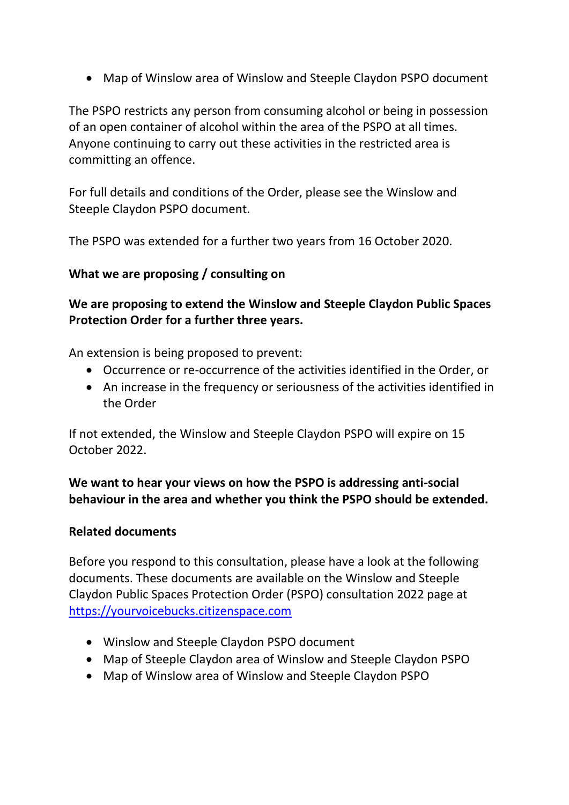• Map of Winslow area of Winslow and Steeple Claydon PSPO document

The PSPO restricts any person from consuming alcohol or being in possession of an open container of alcohol within the area of the PSPO at all times. Anyone continuing to carry out these activities in the restricted area is committing an offence.

For full details and conditions of the Order, please see the Winslow and Steeple Claydon PSPO document.

The PSPO was extended for a further two years from 16 October 2020.

#### **What we are proposing / consulting on**

**We are proposing to extend the Winslow and Steeple Claydon Public Spaces Protection Order for a further three years.**

An extension is being proposed to prevent:

- Occurrence or re-occurrence of the activities identified in the Order, or
- An increase in the frequency or seriousness of the activities identified in the Order

If not extended, the Winslow and Steeple Claydon PSPO will expire on 15 October 2022.

**We want to hear your views on how the PSPO is addressing anti-social behaviour in the area and whether you think the PSPO should be extended.**

#### **Related documents**

Before you respond to this consultation, please have a look at the following documents. These documents are available on the Winslow and Steeple Claydon Public Spaces Protection Order (PSPO) consultation 2022 page at [https://yourvoicebucks.citizenspace.com](https://yourvoicebucks.citizenspace.com/)

- Winslow and Steeple Claydon PSPO document
- Map of Steeple Claydon area of Winslow and Steeple Claydon PSPO
- Map of Winslow area of Winslow and Steeple Claydon PSPO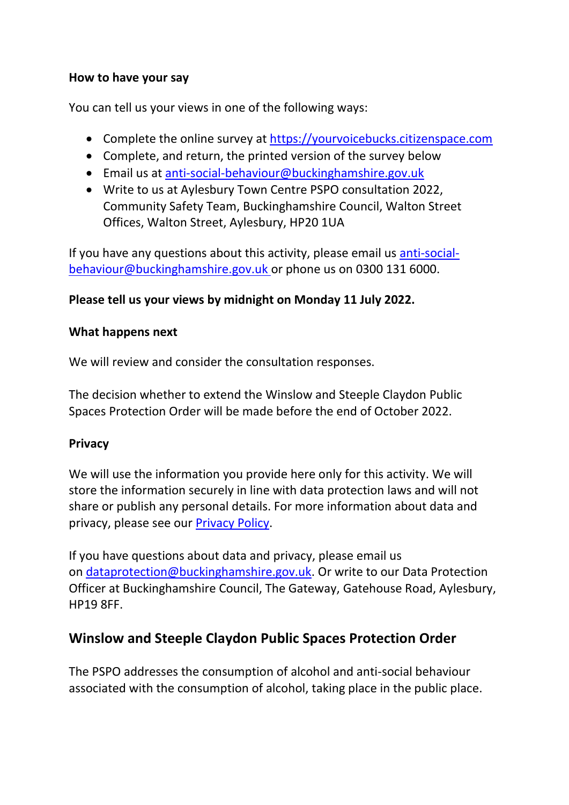#### **How to have your say**

You can tell us your views in one of the following ways:

- Complete the online survey at [https://yourvoicebucks.citizenspace.com](https://yourvoicebucks.citizenspace.com/)
- Complete, and return, the printed version of the survey below
- Email us at [anti-social-behaviour@buckinghamshire.gov.uk](mailto:anti-social-behaviour@buckinghamshire.gov.uk)
- Write to us at Aylesbury Town Centre PSPO consultation 2022, Community Safety Team, Buckinghamshire Council, Walton Street Offices, Walton Street, Aylesbury, HP20 1UA

If you have any questions about this activity, please email us [anti-social](mailto:anti-social-behaviour@buckinghamshire.gov.uk)[behaviour@buckinghamshire.gov.uk](mailto:anti-social-behaviour@buckinghamshire.gov.uk) or phone us on 0300 131 6000.

## **Please tell us your views by midnight on Monday 11 July 2022.**

#### **What happens next**

We will review and consider the consultation responses.

The decision whether to extend the Winslow and Steeple Claydon Public Spaces Protection Order will be made before the end of October 2022.

## **Privacy**

We will use the information you provide here only for this activity. We will store the information securely in line with data protection laws and will not share or publish any personal details. For more information about data and privacy, please see our [Privacy Policy.](https://www.buckinghamshire.gov.uk/your-council/privacy/privacy-policy/)

If you have questions about data and privacy, please email us on [dataprotection@buckinghamshire.gov.uk.](mailto:dataprotection@buckinghamshire.gov.uk) Or write to our Data Protection Officer at Buckinghamshire Council, The Gateway, Gatehouse Road, Aylesbury, HP19 8FF.

## **Winslow and Steeple Claydon Public Spaces Protection Order**

The PSPO addresses the consumption of alcohol and anti-social behaviour associated with the consumption of alcohol, taking place in the public place.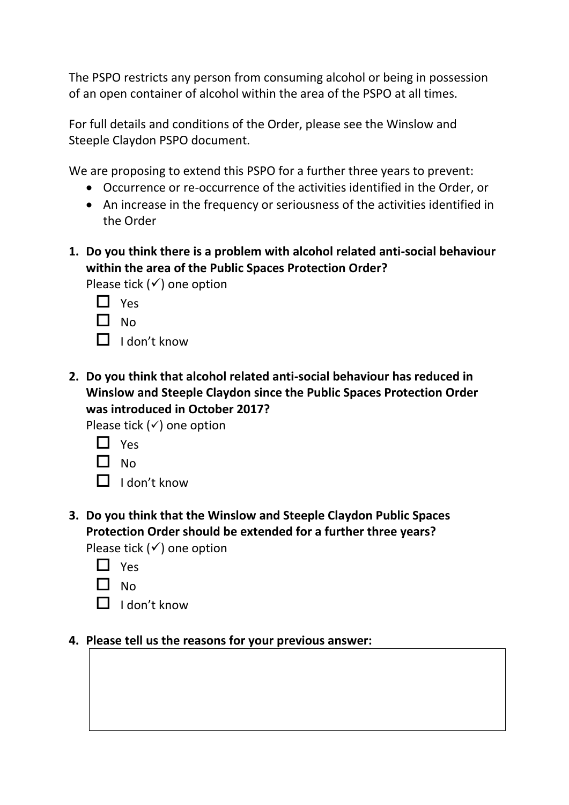The PSPO restricts any person from consuming alcohol or being in possession of an open container of alcohol within the area of the PSPO at all times.

For full details and conditions of the Order, please see the Winslow and Steeple Claydon PSPO document.

We are proposing to extend this PSPO for a further three years to prevent:

- Occurrence or re-occurrence of the activities identified in the Order, or
- An increase in the frequency or seriousness of the activities identified in the Order
- **1. Do you think there is a problem with alcohol related anti-social behaviour within the area of the Public Spaces Protection Order?**

Please tick  $(√)$  one option

- □ Yes
- $\Box$  No
- $\Pi$  I don't know
- **2. Do you think that alcohol related anti-social behaviour has reduced in Winslow and Steeple Claydon since the Public Spaces Protection Order was introduced in October 2017?**

Please tick  $($  $\checkmark$ ) one option

- $\Box$  Yes
- $\Box$  No
- $\Box$  I don't know
- **3. Do you think that the Winslow and Steeple Claydon Public Spaces Protection Order should be extended for a further three years?** Please tick  $(√)$  one option
	- □ Yes
	- $\Box$  No
	- $\Box$  I don't know

#### **4. Please tell us the reasons for your previous answer:**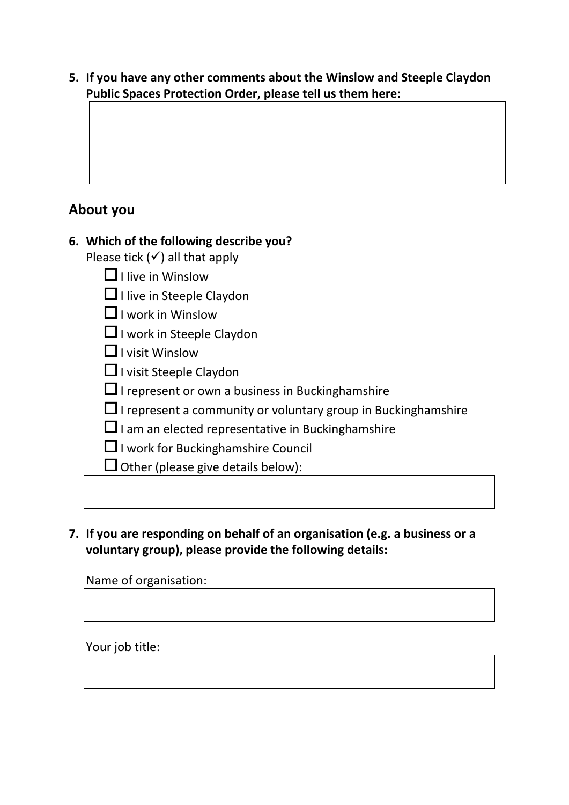**5. If you have any other comments about the Winslow and Steeple Claydon Public Spaces Protection Order, please tell us them here:**

## **About you**

## **6. Which of the following describe you?**

Please tick  $($  $\checkmark$ ) all that apply

 $\Box$  I live in Winslow

 $\Box$  I live in Steeple Claydon

 $\Box$  I work in Winslow

□ I work in Steeple Claydon

 $\Box$  I visit Winslow

 $\Box$  I visit Steeple Claydon

 $\Box$  I represent or own a business in Bucking hamshire

- $\Box$  I represent a community or voluntary group in Buckinghamshire
- $\Box$  I am an elected representative in Bucking hamshire
- $\Box$  I work for Bucking hamshire Council

 $\Box$  Other (please give details below):

**7. If you are responding on behalf of an organisation (e.g. a business or a voluntary group), please provide the following details:**

#### Name of organisation:

#### Your job title: